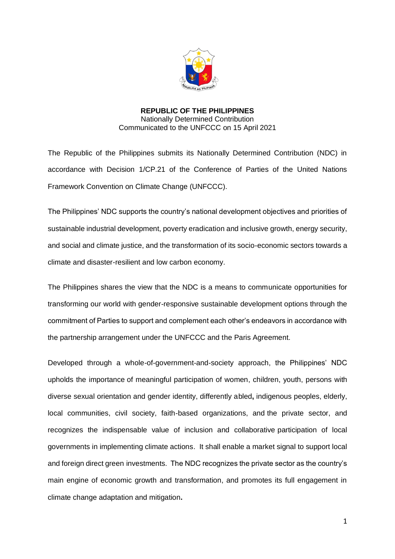

**REPUBLIC OF THE PHILIPPINES** Nationally Determined Contribution Communicated to the UNFCCC on 15 April 2021

The Republic of the Philippines submits its Nationally Determined Contribution (NDC) in accordance with Decision 1/CP.21 of the Conference of Parties of the United Nations Framework Convention on Climate Change (UNFCCC).

The Philippines' NDC supports the country's national development objectives and priorities of sustainable industrial development, poverty eradication and inclusive growth, energy security, and social and climate justice, and the transformation of its socio-economic sectors towards a climate and disaster-resilient and low carbon economy.

The Philippines shares the view that the NDC is a means to communicate opportunities for transforming our world with gender-responsive sustainable development options through the commitment of Parties to support and complement each other's endeavors in accordance with the partnership arrangement under the UNFCCC and the Paris Agreement.

Developed through a whole-of-government-and-society approach, the Philippines' NDC upholds the importance of meaningful participation of women, children, youth, persons with diverse sexual orientation and gender identity, differently abled**,** indigenous peoples, elderly, local communities, civil society, faith-based organizations, and the private sector, and recognizes the indispensable value of inclusion and collaborative participation of local governments in implementing climate actions. It shall enable a market signal to support local and foreign direct green investments. The NDC recognizes the private sector as the country's main engine of economic growth and transformation, and promotes its full engagement in climate change adaptation and mitigation**.**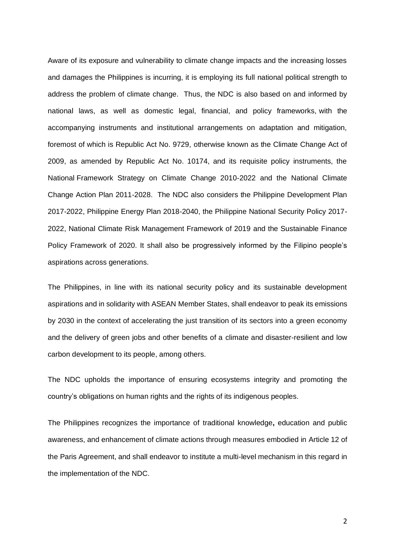Aware of its exposure and vulnerability to climate change impacts and the increasing losses and damages the Philippines is incurring, it is employing its full national political strength to address the problem of climate change. Thus, the NDC is also based on and informed by national laws, as well as domestic legal, financial, and policy frameworks, with the accompanying instruments and institutional arrangements on adaptation and mitigation, foremost of which is Republic Act No. 9729, otherwise known as the Climate Change Act of 2009, as amended by Republic Act No. 10174, and its requisite policy instruments, the National Framework Strategy on Climate Change 2010-2022 and the National Climate Change Action Plan 2011-2028. The NDC also considers the Philippine Development Plan 2017-2022, Philippine Energy Plan 2018-2040, the Philippine National Security Policy 2017- 2022, National Climate Risk Management Framework of 2019 and the Sustainable Finance Policy Framework of 2020. It shall also be progressively informed by the Filipino people's aspirations across generations.

The Philippines, in line with its national security policy and its sustainable development aspirations and in solidarity with ASEAN Member States, shall endeavor to peak its emissions by 2030 in the context of accelerating the just transition of its sectors into a green economy and the delivery of green jobs and other benefits of a climate and disaster-resilient and low carbon development to its people, among others.

The NDC upholds the importance of ensuring ecosystems integrity and promoting the country's obligations on human rights and the rights of its indigenous peoples.

The Philippines recognizes the importance of traditional knowledge**,** education and public awareness, and enhancement of climate actions through measures embodied in Article 12 of the Paris Agreement, and shall endeavor to institute a multi-level mechanism in this regard in the implementation of the NDC.

2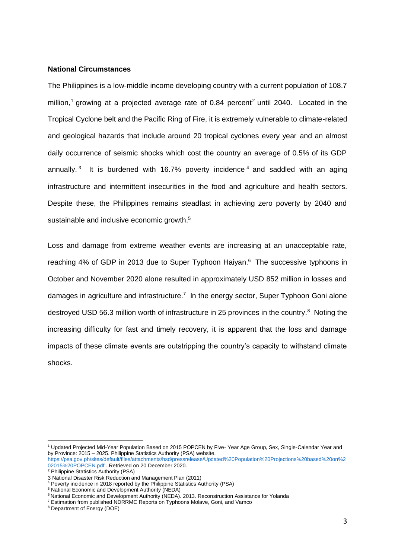## **National Circumstances**

The Philippines is a low-middle income developing country with a current population of 108.7 million,<sup>1</sup> growing at a projected average rate of 0.84 percent<sup>2</sup> until 2040. Located in the Tropical Cyclone belt and the Pacific Ring of Fire, it is extremely vulnerable to climate-related and geological hazards that include around 20 tropical cyclones every year and an almost daily occurrence of seismic shocks which cost the country an average of 0.5% of its GDP annually.<sup>3</sup> It is burdened with 16.7% poverty incidence<sup>4</sup> and saddled with an aging infrastructure and intermittent insecurities in the food and agriculture and health sectors. Despite these, the Philippines remains steadfast in achieving zero poverty by 2040 and sustainable and inclusive economic growth.<sup>5</sup>

Loss and damage from extreme weather events are increasing at an unacceptable rate, reaching 4% of GDP in 2013 due to Super Typhoon Haiyan.<sup>6</sup> The successive typhoons in October and November 2020 alone resulted in approximately USD 852 million in losses and damages in agriculture and infrastructure.<sup>7</sup> In the energy sector, Super Typhoon Goni alone destroyed USD 56.3 million worth of infrastructure in 25 provinces in the country.<sup>8</sup> Noting the increasing difficulty for fast and timely recovery, it is apparent that the loss and damage impacts of these climate events are outstripping the country's capacity to withstand climate shocks.

<sup>1</sup> Updated Projected Mid-Year Population Based on 2015 POPCEN by Five- Year Age Group, Sex, Single-Calendar Year and by Province: 2015 – 2025. Philippine Statistics Authority (PSA) website.

[https://psa.gov.ph/sites/default/files/attachments/hsd/pressrelease/Updated%20Population%20Projections%20based%20on%2](https://psa.gov.ph/sites/default/files/attachments/hsd/pressrelease/Updated%20Population%20Projections%20based%20on%202015%20POPCEN.pdf) [02015%20POPCEN.pdf](https://psa.gov.ph/sites/default/files/attachments/hsd/pressrelease/Updated%20Population%20Projections%20based%20on%202015%20POPCEN.pdf) . Retrieved on 20 December 2020.

<sup>&</sup>lt;sup>2</sup> Philippine Statistics Authority (PSA)

<sup>3</sup> National Disaster Risk Reduction and Management Plan (2011)

<sup>4</sup> Poverty incidence in 2018 reported by the Philippine Statistics Authority (PSA)

<sup>5</sup> National Economic and Development Authority (NEDA)

<sup>6</sup> National Economic and Development Authority (NEDA). 2013. Reconstruction Assistance for Yolanda

<sup>7</sup> Estimation from published NDRRMC Reports on Typhoons Molave, Goni, and Vamco

<sup>8</sup> Department of Energy (DOE)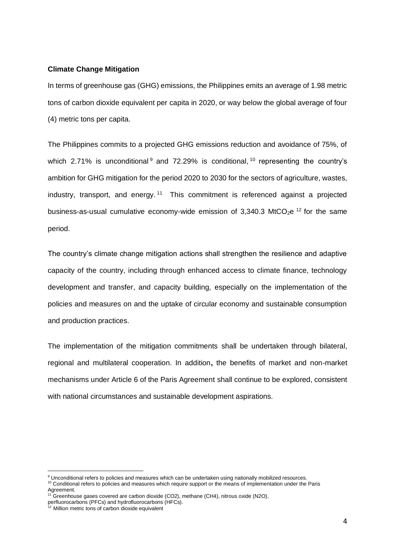## **Climate Change Mitigation**

In terms of greenhouse gas (GHG) emissions, the Philippines emits an average of 1.98 metric tons of carbon dioxide equivalent per capita in 2020, or way below the global average of four (4) metric tons per capita.

The Philippines commits to a projected GHG emissions reduction and avoidance of 75%, of which 2.71% is unconditional  $9$  and 72.29% is conditional,  $10$  representing the country's ambition for GHG mitigation for the period 2020 to 2030 for the sectors of agriculture, wastes, industry, transport, and energy.<sup>11</sup> This commitment is referenced against a projected business-as-usual cumulative economy-wide emission of 3,340.3 MtCO<sub>2</sub>e<sup>12</sup> for the same period.

The country's climate change mitigation actions shall strengthen the resilience and adaptive capacity of the country, including through enhanced access to climate finance, technology development and transfer, and capacity building, especially on the implementation of the policies and measures on and the uptake of circular economy and sustainable consumption and production practices.

The implementation of the mitigation commitments shall be undertaken through bilateral, regional and multilateral cooperation. In addition**,** the benefits of market and non-market mechanisms under Article 6 of the Paris Agreement shall continue to be explored, consistent with national circumstances and sustainable development aspirations.

<sup>9</sup> Unconditional refers to policies and measures which can be undertaken using nationally mobilized resources. <sup>10</sup> Conditional refers to policies and measures which require support or the means of implementation under the Paris Agreement.

<sup>&</sup>lt;sup>11</sup> Greenhouse gases covered are carbon dioxide (CO2), methane (CH4), nitrous oxide (N2O),

perfluorocarbons (PFCs) and hydrofluorocarbons (HFCs).

<sup>&</sup>lt;sup>12</sup> Million metric tons of carbon dioxide equivalent